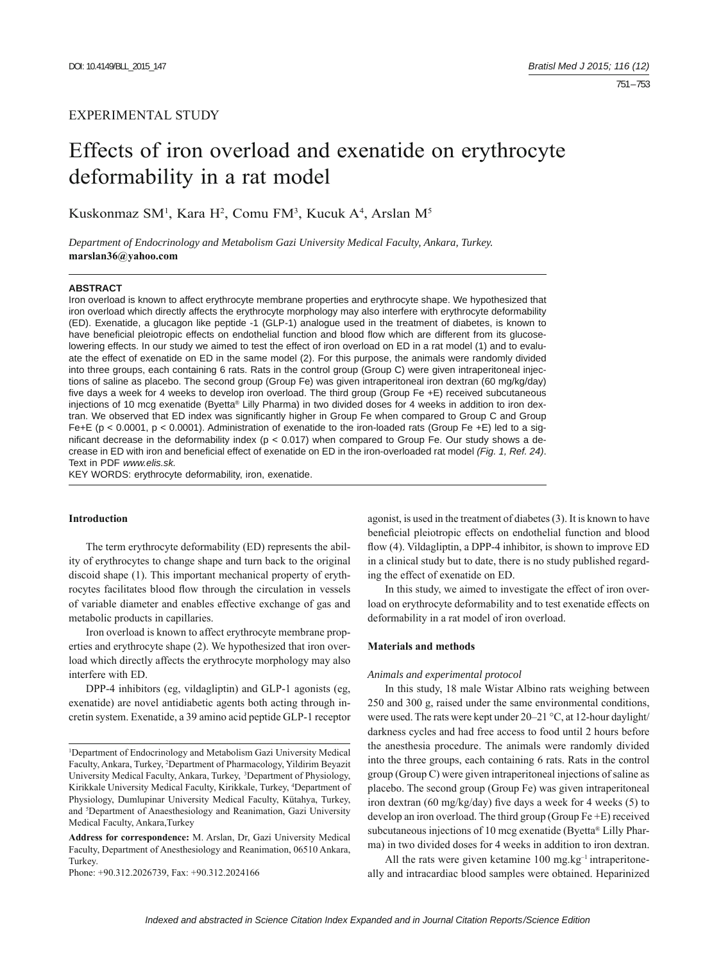## EXPERIMENTAL STUDY

# Effects of iron overload and exenatide on erythrocyte deformability in a rat model

Kuskonmaz SM<sup>1</sup>, Kara H<sup>2</sup>, Comu FM<sup>3</sup>, Kucuk A<sup>4</sup>, Arslan M<sup>5</sup>

*Department of Endocrinology and Metabolism Gazi University Medical Faculty, Ankara, Turkey.*  **marslan36@yahoo.com**

#### **ABSTRACT**

Iron overload is known to affect erythrocyte membrane properties and erythrocyte shape. We hypothesized that iron overload which directly affects the erythrocyte morphology may also interfere with erythrocyte deformability (ED). Exenatide, a glucagon like peptide -1 (GLP-1) analogue used in the treatment of diabetes, is known to have beneficial pleiotropic effects on endothelial function and blood flow which are different from its glucoselowering effects. In our study we aimed to test the effect of iron overload on ED in a rat model (1) and to evaluate the effect of exenatide on ED in the same model (2). For this purpose, the animals were randomly divided into three groups, each containing 6 rats. Rats in the control group (Group C) were given intraperitoneal injections of saline as placebo. The second group (Group Fe) was given intraperitoneal iron dextran (60 mg/kg/day) five days a week for 4 weeks to develop iron overload. The third group (Group Fe +E) received subcutaneous injections of 10 mcg exenatide (Byetta® Lilly Pharma) in two divided doses for 4 weeks in addition to iron dextran. We observed that ED index was significantly higher in Group Fe when compared to Group C and Group Fe+E (p < 0.0001, p < 0.0001). Administration of exenatide to the iron-loaded rats (Group Fe +E) led to a significant decrease in the deformability index ( $p < 0.017$ ) when compared to Group Fe. Our study shows a decrease in ED with iron and beneficial effect of exenatide on ED in the iron-overloaded rat model (Fig. 1, Ref. 24). Text in PDF *www.elis.sk.*

KEY WORDS: erythrocyte deformability, iron, exenatide.

### **Introduction**

The term erythrocyte deformability (ED) represents the ability of erythrocytes to change shape and turn back to the original discoid shape (1). This important mechanical property of erythrocytes facilitates blood flow through the circulation in vessels of variable diameter and enables effective exchange of gas and metabolic products in capillaries.

Iron overload is known to affect erythrocyte membrane properties and erythrocyte shape (2). We hypothesized that iron overload which directly affects the erythrocyte morphology may also interfere with ED.

DPP-4 inhibitors (eg, vildagliptin) and GLP-1 agonists (eg, exenatide) are novel antidiabetic agents both acting through incretin system. Exenatide, a 39 amino acid peptide GLP-1 receptor

**Address for correspondence:** M. Arslan, Dr, Gazi University Medical Faculty, Department of Anesthesiology and Reanimation, 06510 Ankara, Turkey.

Phone: +90.312.2026739, Fax: +90.312.2024166

agonist, is used in the treatment of diabetes (3). It is known to have beneficial pleiotropic effects on endothelial function and blood flow (4). Vildagliptin, a DPP-4 inhibitor, is shown to improve ED in a clinical study but to date, there is no study published regarding the effect of exenatide on ED.

In this study, we aimed to investigate the effect of iron overload on erythrocyte deformability and to test exenatide effects on deformability in a rat model of iron overload.

#### **Materials and methods**

#### *Animals and experimental protocol*

In this study, 18 male Wistar Albino rats weighing between 250 and 300 g, raised under the same environmental conditions, were used. The rats were kept under 20–21 °C, at 12-hour daylight/ darkness cycles and had free access to food until 2 hours before the anesthesia procedure. The animals were randomly divided into the three groups, each containing 6 rats. Rats in the control group (Group C) were given intraperitoneal injections of saline as placebo. The second group (Group Fe) was given intraperitoneal iron dextran (60 mg/kg/day) five days a week for 4 weeks (5) to develop an iron overload. The third group (Group Fe +E) received subcutaneous injections of 10 mcg exenatide (Byetta® Lilly Pharma) in two divided doses for 4 weeks in addition to iron dextran.

All the rats were given ketamine  $100 \text{ mg} \cdot \text{kg}^{-1}$  intraperitoneally and intracardiac blood samples were obtained. Heparinized

<sup>&</sup>lt;sup>1</sup>Department of Endocrinology and Metabolism Gazi University Medical Faculty, Ankara, Turkey, 2 Department of Pharmacology, Yildirim Beyazit University Medical Faculty, Ankara, Turkey, 3Department of Physiology, Kirikkale University Medical Faculty, Kirikkale, Turkey, <sup>4</sup>Department of Physiology, Dumlupinar University Medical Faculty, Kütahya, Turkey, and <sup>5</sup>Department of Anaesthesiology and Reanimation, Gazi University Medical Faculty, Ankara,Turkey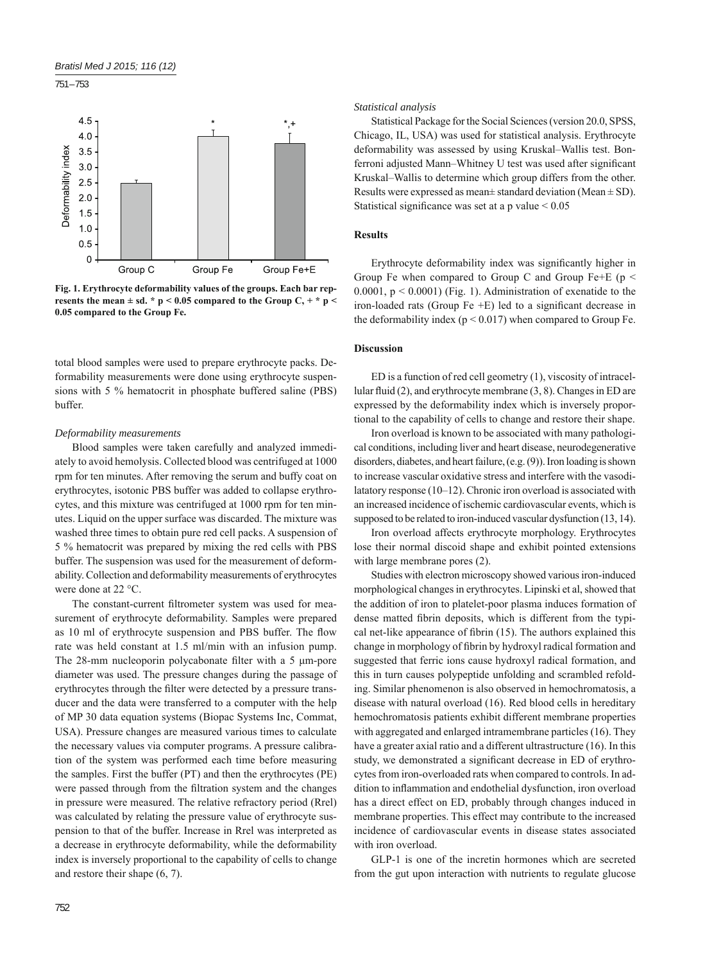751 – 753



**Fig. 1. Erythrocyte deformability values of the groups. Each bar represents the mean**  $\pm$  **sd. \* p < 0.05 compared to the Group C, + \* p < 0.05 compared to the Group Fe.**

total blood samples were used to prepare erythrocyte packs. Deformability measurements were done using erythrocyte suspensions with 5 % hematocrit in phosphate buffered saline (PBS) buffer.

#### *Deformability measurements*

Blood samples were taken carefully and analyzed immediately to avoid hemolysis. Collected blood was centrifuged at 1000 rpm for ten minutes. After removing the serum and buffy coat on erythrocytes, isotonic PBS buffer was added to collapse erythrocytes, and this mixture was centrifuged at 1000 rpm for ten minutes. Liquid on the upper surface was discarded. The mixture was washed three times to obtain pure red cell packs. A suspension of 5 % hematocrit was prepared by mixing the red cells with PBS buffer. The suspension was used for the measurement of deformability. Collection and deformability measurements of erythrocytes were done at 22 °C.

The constant-current filtrometer system was used for measurement of erythrocyte deformability. Samples were prepared as 10 ml of erythrocyte suspension and PBS buffer. The flow rate was held constant at 1.5 ml/min with an infusion pump. The 28-mm nucleoporin polycabonate filter with a 5 μm-pore diameter was used. The pressure changes during the passage of erythrocytes through the filter were detected by a pressure transducer and the data were transferred to a computer with the help of MP 30 data equation systems (Biopac Systems Inc, Commat, USA). Pressure changes are measured various times to calculate the necessary values via computer programs. A pressure calibration of the system was performed each time before measuring the samples. First the buffer (PT) and then the erythrocytes (PE) were passed through from the filtration system and the changes in pressure were measured. The relative refractory period (Rrel) was calculated by relating the pressure value of erythrocyte suspension to that of the buffer. Increase in Rrel was interpreted as a decrease in erythrocyte deformability, while the deformability index is inversely proportional to the capability of cells to change and restore their shape (6, 7).

## *Statistical analysis*

Statistical Package for the Social Sciences (version 20.0, SPSS, Chicago, IL, USA) was used for statistical analysis. Erythrocyte deformability was assessed by using Kruskal–Wallis test. Bonferroni adjusted Mann–Whitney U test was used after significant Kruskal–Wallis to determine which group differs from the other. Results were expressed as mean $\pm$  standard deviation (Mean  $\pm$  SD). Statistical significance was set at a p value  $< 0.05$ 

#### **Results**

Erythrocyte deformability index was significantly higher in Group Fe when compared to Group C and Group Fe+E ( $p$  < 0.0001,  $p < 0.0001$ ) (Fig. 1). Administration of exenatide to the iron-loaded rats (Group Fe  $+E$ ) led to a significant decrease in the deformability index  $(p < 0.017)$  when compared to Group Fe.

## **Discussion**

ED is a function of red cell geometry (1), viscosity of intracellular fluid  $(2)$ , and erythrocyte membrane  $(3, 8)$ . Changes in ED are expressed by the deformability index which is inversely proportional to the capability of cells to change and restore their shape.

Iron overload is known to be associated with many pathological conditions, including liver and heart disease, neurodegenerative disorders, diabetes, and heart failure, (e.g. (9)). Iron loading is shown to increase vascular oxidative stress and interfere with the vasodilatatory response (10–12). Chronic iron overload is associated with an increased incidence of ischemic cardiovascular events, which is supposed to be related to iron-induced vascular dysfunction (13, 14).

Iron overload affects erythrocyte morphology. Erythrocytes lose their normal discoid shape and exhibit pointed extensions with large membrane pores (2).

Studies with electron microscopy showed various iron-induced morphological changes in erythrocytes. Lipinski et al, showed that the addition of iron to platelet-poor plasma induces formation of dense matted fibrin deposits, which is different from the typical net-like appearance of fibrin  $(15)$ . The authors explained this change in morphology of fibrin by hydroxyl radical formation and suggested that ferric ions cause hydroxyl radical formation, and this in turn causes polypeptide unfolding and scrambled refolding. Similar phenomenon is also observed in hemochromatosis, a disease with natural overload (16). Red blood cells in hereditary hemochromatosis patients exhibit different membrane properties with aggregated and enlarged intramembrane particles (16). They have a greater axial ratio and a different ultrastructure (16). In this study, we demonstrated a significant decrease in ED of erythrocytes from iron-overloaded rats when compared to controls. In addition to inflammation and endothelial dysfunction, iron overload has a direct effect on ED, probably through changes induced in membrane properties. This effect may contribute to the increased incidence of cardiovascular events in disease states associated with iron overload.

GLP-1 is one of the incretin hormones which are secreted from the gut upon interaction with nutrients to regulate glucose